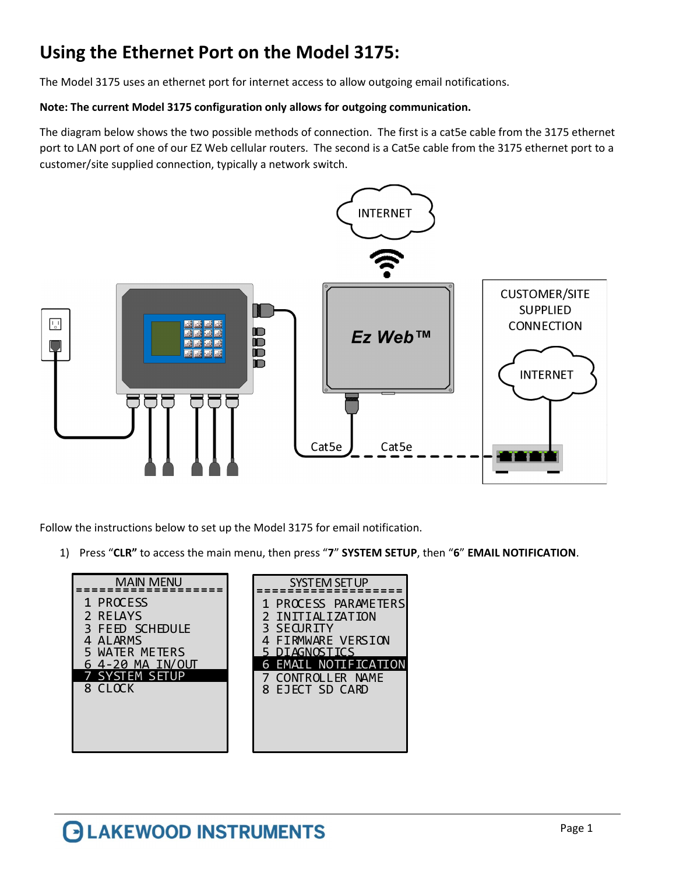## Using the Ethernet Port on the Model 3175:

The Model 3175 uses an ethernet port for internet access to allow outgoing email notifications.

## Note: The current Model 3175 configuration only allows for outgoing communication.

The diagram below shows the two possible methods of connection. The first is a cat5e cable from the 3175 ethernet port to LAN port of one of our EZ Web cellular routers. The second is a Cat5e cable from the 3175 ethernet port to a customer/site supplied connection, typically a network switch.



Follow the instructions below to set up the Model 3175 for email notification.

1) Press "CLR" to access the main menu, then press "7" SYSTEM SETUP, then "6" EMAIL NOTIFICATION.

| <b>MAIN MENU</b><br>SYSTEM SET UP                                                                                                                                                                                                                                                                      |  |
|--------------------------------------------------------------------------------------------------------------------------------------------------------------------------------------------------------------------------------------------------------------------------------------------------------|--|
| 1 PROCESS<br>1 PROCESS PARAMETERS<br>2 RELAYS<br>INITIALIZATION<br>3 SECURITY<br>3 FEED SCHEDULE<br><b>FIRMWARE VERSION</b><br>4 ALARMS<br>5 DIAGNOSTICS<br>5 WATER METERS<br><b>6 EMAIL NOTIFICATION</b><br>64-20 MA IN/OUT<br><b>7 SYSTEM SETUP</b><br>CONTROLLER NAME<br>8 CLOCK<br>8 EJECT SD CARD |  |